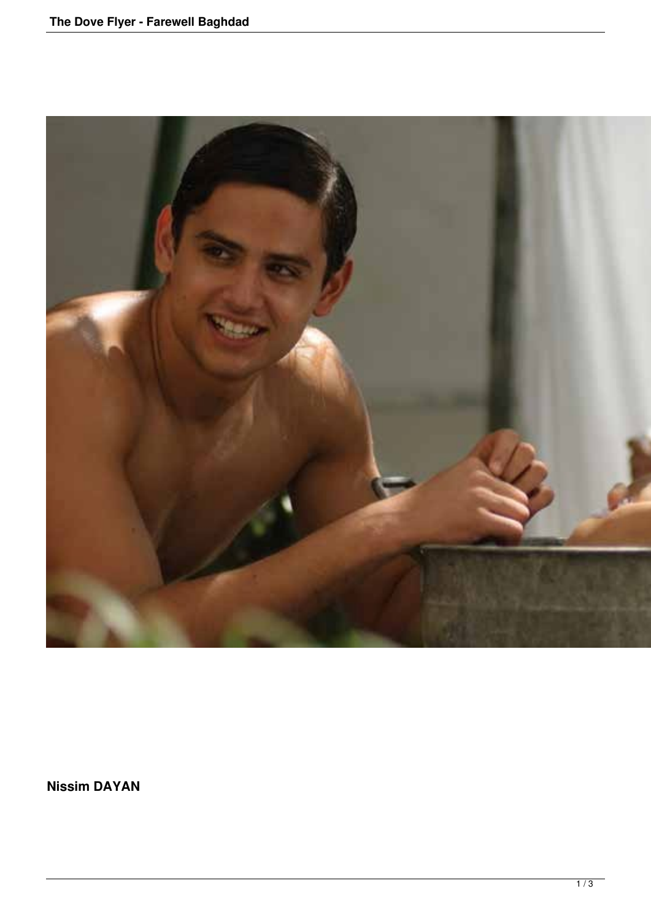

**Nissim DAYAN**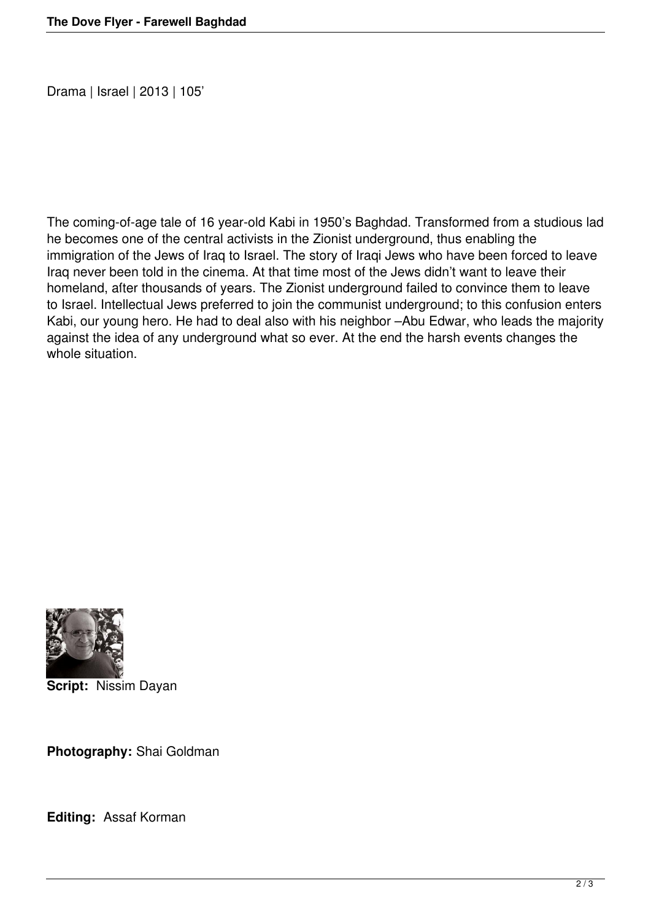Drama | Israel | 2013 | 105'

The coming-of-age tale of 16 year-old Kabi in 1950's Baghdad. Transformed from a studious lad he becomes one of the central activists in the Zionist underground, thus enabling the immigration of the Jews of Iraq to Israel. The story of Iraqi Jews who have been forced to leave Iraq never been told in the cinema. At that time most of the Jews didn't want to leave their homeland, after thousands of years. The Zionist underground failed to convince them to leave to Israel. Intellectual Jews preferred to join the communist underground; to this confusion enters Kabi, our young hero. He had to deal also with his neighbor –Abu Edwar, who leads the majority against the idea of any underground what so ever. At the end the harsh events changes the whole situation.



**Script:** Nissim Dayan

**Photography:** Shai Goldman

**Editing:** Assaf Korman